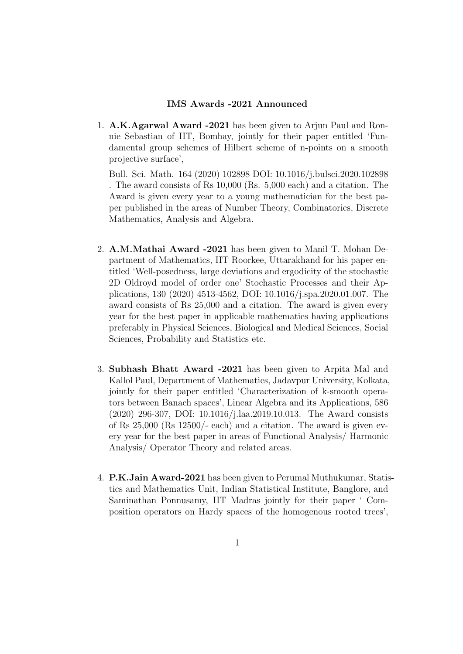## IMS Awards -2021 Announced

1. A.K.Agarwal Award -2021 has been given to Arjun Paul and Ronnie Sebastian of IIT, Bombay, jointly for their paper entitled 'Fundamental group schemes of Hilbert scheme of n-points on a smooth projective surface',

Bull. Sci. Math. 164 (2020) 102898 DOI: 10.1016/j.bulsci.2020.102898 . The award consists of Rs 10,000 (Rs. 5,000 each) and a citation. The Award is given every year to a young mathematician for the best paper published in the areas of Number Theory, Combinatorics, Discrete Mathematics, Analysis and Algebra.

- 2. A.M.Mathai Award -2021 has been given to Manil T. Mohan Department of Mathematics, IIT Roorkee, Uttarakhand for his paper entitled 'Well-posedness, large deviations and ergodicity of the stochastic 2D Oldroyd model of order one' Stochastic Processes and their Applications, 130 (2020) 4513-4562, DOI: 10.1016/j.spa.2020.01.007. The award consists of Rs 25,000 and a citation. The award is given every year for the best paper in applicable mathematics having applications preferably in Physical Sciences, Biological and Medical Sciences, Social Sciences, Probability and Statistics etc.
- 3. Subhash Bhatt Award -2021 has been given to Arpita Mal and Kallol Paul, Department of Mathematics, Jadavpur University, Kolkata, jointly for their paper entitled 'Characterization of k-smooth operators between Banach spaces', Linear Algebra and its Applications, 586 (2020) 296-307, DOI: 10.1016/j.laa.2019.10.013. The Award consists of Rs 25,000 (Rs 12500/- each) and a citation. The award is given every year for the best paper in areas of Functional Analysis/ Harmonic Analysis/ Operator Theory and related areas.
- 4. P.K.Jain Award-2021 has been given to Perumal Muthukumar, Statistics and Mathematics Unit, Indian Statistical Institute, Banglore, and Saminathan Ponnusamy, IIT Madras jointly for their paper ' Composition operators on Hardy spaces of the homogenous rooted trees',